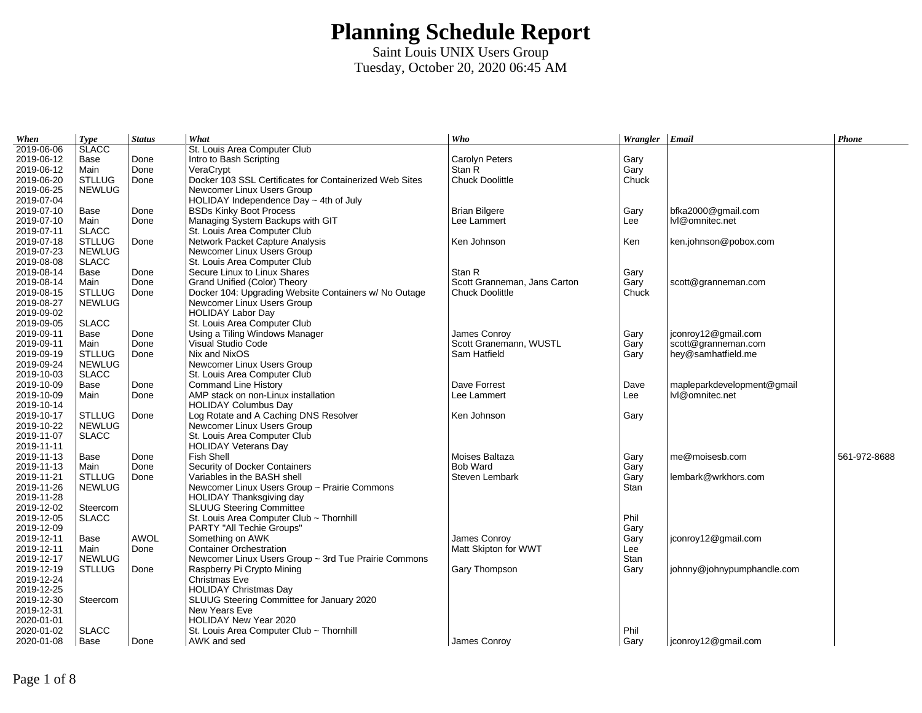| 2019-06-06<br>St. Louis Area Computer Club<br>2019-06-12<br>Done<br>Intro to Bash Scripting<br>Carolyn Peters<br>Base<br>Gary<br>2019-06-12<br>Stan R<br>Gary<br>Main<br>Done<br>VeraCrypt<br>2019-06-20<br><b>STLLUG</b><br>Docker 103 SSL Certificates for Containerized Web Sites<br><b>Chuck Doolittle</b><br>Chuck<br>Done<br>2019-06-25<br><b>NEWLUG</b><br>Newcomer Linux Users Group<br>2019-07-04<br>HOLIDAY Independence Day ~ 4th of July<br>2019-07-10<br><b>BSDs Kinky Boot Process</b><br><b>Brian Bilgere</b><br>bfka2000@gmail.com<br>Base<br>Done<br>Gary<br>2019-07-10<br>Main<br>Managing System Backups with GIT<br>Done<br>Lee Lammert<br>Lee<br>lvl@omnitec.net<br>2019-07-11<br><b>SLACC</b><br>St. Louis Area Computer Club<br>2019-07-18<br><b>STLLUG</b><br>Network Packet Capture Analysis<br>Ken Johnson<br>Done<br>Ken<br>ken.johnson@pobox.com<br>2019-07-23<br><b>NEWLUG</b><br>Newcomer Linux Users Group<br>2019-08-08<br><b>SLACC</b><br>St. Louis Area Computer Club<br>Secure Linux to Linux Shares<br>2019-08-14<br>Base<br>Done<br>Stan R<br>Gary<br>2019-08-14<br>Main<br>Done<br>Grand Unified (Color) Theory<br>Scott Granneman, Jans Carton<br>Gary<br>scott@granneman.com<br>2019-08-15<br><b>STLLUG</b><br>Docker 104: Upgrading Website Containers w/ No Outage<br><b>Chuck Doolittle</b><br>Chuck<br>Done<br>2019-08-27<br><b>NEWLUG</b><br>Newcomer Linux Users Group<br>2019-09-02<br><b>HOLIDAY Labor Day</b><br>2019-09-05<br><b>SLACC</b><br>St. Louis Area Computer Club<br>2019-09-11<br>jconroy12@gmail.com<br>Base<br>Done<br>Using a Tiling Windows Manager<br>James Conroy<br>Gary<br>2019-09-11<br>Visual Studio Code<br>Scott Granemann, WUSTL<br>Main<br>Done<br>Gary<br>scott@granneman.com<br>2019-09-19<br><b>STLLUG</b><br>Nix and NixOS<br>Done<br>Sam Hatfield<br>hey@samhatfield.me<br>Gary<br>2019-09-24<br><b>NEWLUG</b><br>Newcomer Linux Users Group<br>2019-10-03<br><b>SLACC</b><br>St. Louis Area Computer Club<br>2019-10-09<br>Done<br><b>Command Line History</b><br>Dave Forrest<br>mapleparkdevelopment@gmail<br>Base<br>Dave<br>2019-10-09<br>AMP stack on non-Linux installation<br>Done<br>Lee Lammert<br>Lee<br>lvl@omnitec.net<br>Main<br>2019-10-14<br><b>HOLIDAY Columbus Day</b><br>2019-10-17<br>Log Rotate and A Caching DNS Resolver<br><b>STLLUG</b><br>Ken Johnson<br>Done<br>Gary<br>2019-10-22<br>Newcomer Linux Users Group<br><b>NEWLUG</b><br>2019-11-07<br><b>SLACC</b><br>St. Louis Area Computer Club<br>2019-11-11<br><b>HOLIDAY Veterans Day</b><br>2019-11-13<br><b>Fish Shell</b><br>Moises Baltaza<br>me@moisesb.com<br>561-972-8688<br>Base<br>Done<br>Gary<br>2019-11-13<br>Security of Docker Containers<br><b>Bob Ward</b><br>Main<br>Done<br>Gary<br>Variables in the BASH shell<br>2019-11-21<br><b>STLLUG</b><br>Steven Lembark<br>lembark@wrkhors.com<br>Done<br>Gary<br>2019-11-26<br>Newcomer Linux Users Group ~ Prairie Commons<br><b>NEWLUG</b><br>Stan<br>2019-11-28<br>HOLIDAY Thanksgiving day<br>2019-12-02<br><b>SLUUG Steering Committee</b><br>Steercom<br>Phil<br>2019-12-05<br>St. Louis Area Computer Club ~ Thornhill<br><b>SLACC</b><br>2019-12-09<br>PARTY "All Techie Groups"<br>Gary<br>2019-12-11<br><b>AWOL</b><br>Something on AWK<br>James Conrov<br>Gary<br>jconroy12@gmail.com<br>Base<br><b>Container Orchestration</b><br>2019-12-11<br>Matt Skipton for WWT<br>Done<br>Lee<br>Main<br>2019-12-17<br><b>NEWLUG</b><br>Newcomer Linux Users Group ~ 3rd Tue Prairie Commons<br>Stan<br>2019-12-19<br><b>STLLUG</b><br>Raspberry Pi Crypto Mining<br>Gary Thompson<br>Done<br>Gary<br>johnny@johnypumphandle.com<br>2019-12-24<br>Christmas Eve<br>2019-12-25<br><b>HOLIDAY Christmas Day</b><br>2019-12-30<br>SLUUG Steering Committee for January 2020<br>Steercom<br>2019-12-31<br>New Years Eve<br>2020-01-01<br>HOLIDAY New Year 2020<br>2020-01-02<br><b>SLACC</b><br>Phil<br>St. Louis Area Computer Club ~ Thornhill<br>2020-01-08<br>Base<br>AWK and sed<br>James Conroy<br>Gary<br>jconroy12@gmail.com<br>Done | When | <b>Type</b>  | <b>Status</b> | What | Who | Wrangler Email | Phone |
|---------------------------------------------------------------------------------------------------------------------------------------------------------------------------------------------------------------------------------------------------------------------------------------------------------------------------------------------------------------------------------------------------------------------------------------------------------------------------------------------------------------------------------------------------------------------------------------------------------------------------------------------------------------------------------------------------------------------------------------------------------------------------------------------------------------------------------------------------------------------------------------------------------------------------------------------------------------------------------------------------------------------------------------------------------------------------------------------------------------------------------------------------------------------------------------------------------------------------------------------------------------------------------------------------------------------------------------------------------------------------------------------------------------------------------------------------------------------------------------------------------------------------------------------------------------------------------------------------------------------------------------------------------------------------------------------------------------------------------------------------------------------------------------------------------------------------------------------------------------------------------------------------------------------------------------------------------------------------------------------------------------------------------------------------------------------------------------------------------------------------------------------------------------------------------------------------------------------------------------------------------------------------------------------------------------------------------------------------------------------------------------------------------------------------------------------------------------------------------------------------------------------------------------------------------------------------------------------------------------------------------------------------------------------------------------------------------------------------------------------------------------------------------------------------------------------------------------------------------------------------------------------------------------------------------------------------------------------------------------------------------------------------------------------------------------------------------------------------------------------------------------------------------------------------------------------------------------------------------------------------------------------------------------------------------------------------------------------------------------------------------------------------------------------------------------------------------------------------------------------------------------------------------------------------------------------------------------------------------------------------------------------------------------------------------------------------------------------------------------------------------------------------------------------------------------------------------------------------------------------------------------------------------------------------------------------------------------------------------------------------------------------------------------------------------------------|------|--------------|---------------|------|-----|----------------|-------|
|                                                                                                                                                                                                                                                                                                                                                                                                                                                                                                                                                                                                                                                                                                                                                                                                                                                                                                                                                                                                                                                                                                                                                                                                                                                                                                                                                                                                                                                                                                                                                                                                                                                                                                                                                                                                                                                                                                                                                                                                                                                                                                                                                                                                                                                                                                                                                                                                                                                                                                                                                                                                                                                                                                                                                                                                                                                                                                                                                                                                                                                                                                                                                                                                                                                                                                                                                                                                                                                                                                                                                                                                                                                                                                                                                                                                                                                                                                                                                                                                                                                                     |      | <b>SLACC</b> |               |      |     |                |       |
|                                                                                                                                                                                                                                                                                                                                                                                                                                                                                                                                                                                                                                                                                                                                                                                                                                                                                                                                                                                                                                                                                                                                                                                                                                                                                                                                                                                                                                                                                                                                                                                                                                                                                                                                                                                                                                                                                                                                                                                                                                                                                                                                                                                                                                                                                                                                                                                                                                                                                                                                                                                                                                                                                                                                                                                                                                                                                                                                                                                                                                                                                                                                                                                                                                                                                                                                                                                                                                                                                                                                                                                                                                                                                                                                                                                                                                                                                                                                                                                                                                                                     |      |              |               |      |     |                |       |
|                                                                                                                                                                                                                                                                                                                                                                                                                                                                                                                                                                                                                                                                                                                                                                                                                                                                                                                                                                                                                                                                                                                                                                                                                                                                                                                                                                                                                                                                                                                                                                                                                                                                                                                                                                                                                                                                                                                                                                                                                                                                                                                                                                                                                                                                                                                                                                                                                                                                                                                                                                                                                                                                                                                                                                                                                                                                                                                                                                                                                                                                                                                                                                                                                                                                                                                                                                                                                                                                                                                                                                                                                                                                                                                                                                                                                                                                                                                                                                                                                                                                     |      |              |               |      |     |                |       |
|                                                                                                                                                                                                                                                                                                                                                                                                                                                                                                                                                                                                                                                                                                                                                                                                                                                                                                                                                                                                                                                                                                                                                                                                                                                                                                                                                                                                                                                                                                                                                                                                                                                                                                                                                                                                                                                                                                                                                                                                                                                                                                                                                                                                                                                                                                                                                                                                                                                                                                                                                                                                                                                                                                                                                                                                                                                                                                                                                                                                                                                                                                                                                                                                                                                                                                                                                                                                                                                                                                                                                                                                                                                                                                                                                                                                                                                                                                                                                                                                                                                                     |      |              |               |      |     |                |       |
|                                                                                                                                                                                                                                                                                                                                                                                                                                                                                                                                                                                                                                                                                                                                                                                                                                                                                                                                                                                                                                                                                                                                                                                                                                                                                                                                                                                                                                                                                                                                                                                                                                                                                                                                                                                                                                                                                                                                                                                                                                                                                                                                                                                                                                                                                                                                                                                                                                                                                                                                                                                                                                                                                                                                                                                                                                                                                                                                                                                                                                                                                                                                                                                                                                                                                                                                                                                                                                                                                                                                                                                                                                                                                                                                                                                                                                                                                                                                                                                                                                                                     |      |              |               |      |     |                |       |
|                                                                                                                                                                                                                                                                                                                                                                                                                                                                                                                                                                                                                                                                                                                                                                                                                                                                                                                                                                                                                                                                                                                                                                                                                                                                                                                                                                                                                                                                                                                                                                                                                                                                                                                                                                                                                                                                                                                                                                                                                                                                                                                                                                                                                                                                                                                                                                                                                                                                                                                                                                                                                                                                                                                                                                                                                                                                                                                                                                                                                                                                                                                                                                                                                                                                                                                                                                                                                                                                                                                                                                                                                                                                                                                                                                                                                                                                                                                                                                                                                                                                     |      |              |               |      |     |                |       |
|                                                                                                                                                                                                                                                                                                                                                                                                                                                                                                                                                                                                                                                                                                                                                                                                                                                                                                                                                                                                                                                                                                                                                                                                                                                                                                                                                                                                                                                                                                                                                                                                                                                                                                                                                                                                                                                                                                                                                                                                                                                                                                                                                                                                                                                                                                                                                                                                                                                                                                                                                                                                                                                                                                                                                                                                                                                                                                                                                                                                                                                                                                                                                                                                                                                                                                                                                                                                                                                                                                                                                                                                                                                                                                                                                                                                                                                                                                                                                                                                                                                                     |      |              |               |      |     |                |       |
|                                                                                                                                                                                                                                                                                                                                                                                                                                                                                                                                                                                                                                                                                                                                                                                                                                                                                                                                                                                                                                                                                                                                                                                                                                                                                                                                                                                                                                                                                                                                                                                                                                                                                                                                                                                                                                                                                                                                                                                                                                                                                                                                                                                                                                                                                                                                                                                                                                                                                                                                                                                                                                                                                                                                                                                                                                                                                                                                                                                                                                                                                                                                                                                                                                                                                                                                                                                                                                                                                                                                                                                                                                                                                                                                                                                                                                                                                                                                                                                                                                                                     |      |              |               |      |     |                |       |
|                                                                                                                                                                                                                                                                                                                                                                                                                                                                                                                                                                                                                                                                                                                                                                                                                                                                                                                                                                                                                                                                                                                                                                                                                                                                                                                                                                                                                                                                                                                                                                                                                                                                                                                                                                                                                                                                                                                                                                                                                                                                                                                                                                                                                                                                                                                                                                                                                                                                                                                                                                                                                                                                                                                                                                                                                                                                                                                                                                                                                                                                                                                                                                                                                                                                                                                                                                                                                                                                                                                                                                                                                                                                                                                                                                                                                                                                                                                                                                                                                                                                     |      |              |               |      |     |                |       |
|                                                                                                                                                                                                                                                                                                                                                                                                                                                                                                                                                                                                                                                                                                                                                                                                                                                                                                                                                                                                                                                                                                                                                                                                                                                                                                                                                                                                                                                                                                                                                                                                                                                                                                                                                                                                                                                                                                                                                                                                                                                                                                                                                                                                                                                                                                                                                                                                                                                                                                                                                                                                                                                                                                                                                                                                                                                                                                                                                                                                                                                                                                                                                                                                                                                                                                                                                                                                                                                                                                                                                                                                                                                                                                                                                                                                                                                                                                                                                                                                                                                                     |      |              |               |      |     |                |       |
|                                                                                                                                                                                                                                                                                                                                                                                                                                                                                                                                                                                                                                                                                                                                                                                                                                                                                                                                                                                                                                                                                                                                                                                                                                                                                                                                                                                                                                                                                                                                                                                                                                                                                                                                                                                                                                                                                                                                                                                                                                                                                                                                                                                                                                                                                                                                                                                                                                                                                                                                                                                                                                                                                                                                                                                                                                                                                                                                                                                                                                                                                                                                                                                                                                                                                                                                                                                                                                                                                                                                                                                                                                                                                                                                                                                                                                                                                                                                                                                                                                                                     |      |              |               |      |     |                |       |
|                                                                                                                                                                                                                                                                                                                                                                                                                                                                                                                                                                                                                                                                                                                                                                                                                                                                                                                                                                                                                                                                                                                                                                                                                                                                                                                                                                                                                                                                                                                                                                                                                                                                                                                                                                                                                                                                                                                                                                                                                                                                                                                                                                                                                                                                                                                                                                                                                                                                                                                                                                                                                                                                                                                                                                                                                                                                                                                                                                                                                                                                                                                                                                                                                                                                                                                                                                                                                                                                                                                                                                                                                                                                                                                                                                                                                                                                                                                                                                                                                                                                     |      |              |               |      |     |                |       |
|                                                                                                                                                                                                                                                                                                                                                                                                                                                                                                                                                                                                                                                                                                                                                                                                                                                                                                                                                                                                                                                                                                                                                                                                                                                                                                                                                                                                                                                                                                                                                                                                                                                                                                                                                                                                                                                                                                                                                                                                                                                                                                                                                                                                                                                                                                                                                                                                                                                                                                                                                                                                                                                                                                                                                                                                                                                                                                                                                                                                                                                                                                                                                                                                                                                                                                                                                                                                                                                                                                                                                                                                                                                                                                                                                                                                                                                                                                                                                                                                                                                                     |      |              |               |      |     |                |       |
|                                                                                                                                                                                                                                                                                                                                                                                                                                                                                                                                                                                                                                                                                                                                                                                                                                                                                                                                                                                                                                                                                                                                                                                                                                                                                                                                                                                                                                                                                                                                                                                                                                                                                                                                                                                                                                                                                                                                                                                                                                                                                                                                                                                                                                                                                                                                                                                                                                                                                                                                                                                                                                                                                                                                                                                                                                                                                                                                                                                                                                                                                                                                                                                                                                                                                                                                                                                                                                                                                                                                                                                                                                                                                                                                                                                                                                                                                                                                                                                                                                                                     |      |              |               |      |     |                |       |
|                                                                                                                                                                                                                                                                                                                                                                                                                                                                                                                                                                                                                                                                                                                                                                                                                                                                                                                                                                                                                                                                                                                                                                                                                                                                                                                                                                                                                                                                                                                                                                                                                                                                                                                                                                                                                                                                                                                                                                                                                                                                                                                                                                                                                                                                                                                                                                                                                                                                                                                                                                                                                                                                                                                                                                                                                                                                                                                                                                                                                                                                                                                                                                                                                                                                                                                                                                                                                                                                                                                                                                                                                                                                                                                                                                                                                                                                                                                                                                                                                                                                     |      |              |               |      |     |                |       |
|                                                                                                                                                                                                                                                                                                                                                                                                                                                                                                                                                                                                                                                                                                                                                                                                                                                                                                                                                                                                                                                                                                                                                                                                                                                                                                                                                                                                                                                                                                                                                                                                                                                                                                                                                                                                                                                                                                                                                                                                                                                                                                                                                                                                                                                                                                                                                                                                                                                                                                                                                                                                                                                                                                                                                                                                                                                                                                                                                                                                                                                                                                                                                                                                                                                                                                                                                                                                                                                                                                                                                                                                                                                                                                                                                                                                                                                                                                                                                                                                                                                                     |      |              |               |      |     |                |       |
|                                                                                                                                                                                                                                                                                                                                                                                                                                                                                                                                                                                                                                                                                                                                                                                                                                                                                                                                                                                                                                                                                                                                                                                                                                                                                                                                                                                                                                                                                                                                                                                                                                                                                                                                                                                                                                                                                                                                                                                                                                                                                                                                                                                                                                                                                                                                                                                                                                                                                                                                                                                                                                                                                                                                                                                                                                                                                                                                                                                                                                                                                                                                                                                                                                                                                                                                                                                                                                                                                                                                                                                                                                                                                                                                                                                                                                                                                                                                                                                                                                                                     |      |              |               |      |     |                |       |
|                                                                                                                                                                                                                                                                                                                                                                                                                                                                                                                                                                                                                                                                                                                                                                                                                                                                                                                                                                                                                                                                                                                                                                                                                                                                                                                                                                                                                                                                                                                                                                                                                                                                                                                                                                                                                                                                                                                                                                                                                                                                                                                                                                                                                                                                                                                                                                                                                                                                                                                                                                                                                                                                                                                                                                                                                                                                                                                                                                                                                                                                                                                                                                                                                                                                                                                                                                                                                                                                                                                                                                                                                                                                                                                                                                                                                                                                                                                                                                                                                                                                     |      |              |               |      |     |                |       |
|                                                                                                                                                                                                                                                                                                                                                                                                                                                                                                                                                                                                                                                                                                                                                                                                                                                                                                                                                                                                                                                                                                                                                                                                                                                                                                                                                                                                                                                                                                                                                                                                                                                                                                                                                                                                                                                                                                                                                                                                                                                                                                                                                                                                                                                                                                                                                                                                                                                                                                                                                                                                                                                                                                                                                                                                                                                                                                                                                                                                                                                                                                                                                                                                                                                                                                                                                                                                                                                                                                                                                                                                                                                                                                                                                                                                                                                                                                                                                                                                                                                                     |      |              |               |      |     |                |       |
|                                                                                                                                                                                                                                                                                                                                                                                                                                                                                                                                                                                                                                                                                                                                                                                                                                                                                                                                                                                                                                                                                                                                                                                                                                                                                                                                                                                                                                                                                                                                                                                                                                                                                                                                                                                                                                                                                                                                                                                                                                                                                                                                                                                                                                                                                                                                                                                                                                                                                                                                                                                                                                                                                                                                                                                                                                                                                                                                                                                                                                                                                                                                                                                                                                                                                                                                                                                                                                                                                                                                                                                                                                                                                                                                                                                                                                                                                                                                                                                                                                                                     |      |              |               |      |     |                |       |
|                                                                                                                                                                                                                                                                                                                                                                                                                                                                                                                                                                                                                                                                                                                                                                                                                                                                                                                                                                                                                                                                                                                                                                                                                                                                                                                                                                                                                                                                                                                                                                                                                                                                                                                                                                                                                                                                                                                                                                                                                                                                                                                                                                                                                                                                                                                                                                                                                                                                                                                                                                                                                                                                                                                                                                                                                                                                                                                                                                                                                                                                                                                                                                                                                                                                                                                                                                                                                                                                                                                                                                                                                                                                                                                                                                                                                                                                                                                                                                                                                                                                     |      |              |               |      |     |                |       |
|                                                                                                                                                                                                                                                                                                                                                                                                                                                                                                                                                                                                                                                                                                                                                                                                                                                                                                                                                                                                                                                                                                                                                                                                                                                                                                                                                                                                                                                                                                                                                                                                                                                                                                                                                                                                                                                                                                                                                                                                                                                                                                                                                                                                                                                                                                                                                                                                                                                                                                                                                                                                                                                                                                                                                                                                                                                                                                                                                                                                                                                                                                                                                                                                                                                                                                                                                                                                                                                                                                                                                                                                                                                                                                                                                                                                                                                                                                                                                                                                                                                                     |      |              |               |      |     |                |       |
|                                                                                                                                                                                                                                                                                                                                                                                                                                                                                                                                                                                                                                                                                                                                                                                                                                                                                                                                                                                                                                                                                                                                                                                                                                                                                                                                                                                                                                                                                                                                                                                                                                                                                                                                                                                                                                                                                                                                                                                                                                                                                                                                                                                                                                                                                                                                                                                                                                                                                                                                                                                                                                                                                                                                                                                                                                                                                                                                                                                                                                                                                                                                                                                                                                                                                                                                                                                                                                                                                                                                                                                                                                                                                                                                                                                                                                                                                                                                                                                                                                                                     |      |              |               |      |     |                |       |
|                                                                                                                                                                                                                                                                                                                                                                                                                                                                                                                                                                                                                                                                                                                                                                                                                                                                                                                                                                                                                                                                                                                                                                                                                                                                                                                                                                                                                                                                                                                                                                                                                                                                                                                                                                                                                                                                                                                                                                                                                                                                                                                                                                                                                                                                                                                                                                                                                                                                                                                                                                                                                                                                                                                                                                                                                                                                                                                                                                                                                                                                                                                                                                                                                                                                                                                                                                                                                                                                                                                                                                                                                                                                                                                                                                                                                                                                                                                                                                                                                                                                     |      |              |               |      |     |                |       |
|                                                                                                                                                                                                                                                                                                                                                                                                                                                                                                                                                                                                                                                                                                                                                                                                                                                                                                                                                                                                                                                                                                                                                                                                                                                                                                                                                                                                                                                                                                                                                                                                                                                                                                                                                                                                                                                                                                                                                                                                                                                                                                                                                                                                                                                                                                                                                                                                                                                                                                                                                                                                                                                                                                                                                                                                                                                                                                                                                                                                                                                                                                                                                                                                                                                                                                                                                                                                                                                                                                                                                                                                                                                                                                                                                                                                                                                                                                                                                                                                                                                                     |      |              |               |      |     |                |       |
|                                                                                                                                                                                                                                                                                                                                                                                                                                                                                                                                                                                                                                                                                                                                                                                                                                                                                                                                                                                                                                                                                                                                                                                                                                                                                                                                                                                                                                                                                                                                                                                                                                                                                                                                                                                                                                                                                                                                                                                                                                                                                                                                                                                                                                                                                                                                                                                                                                                                                                                                                                                                                                                                                                                                                                                                                                                                                                                                                                                                                                                                                                                                                                                                                                                                                                                                                                                                                                                                                                                                                                                                                                                                                                                                                                                                                                                                                                                                                                                                                                                                     |      |              |               |      |     |                |       |
|                                                                                                                                                                                                                                                                                                                                                                                                                                                                                                                                                                                                                                                                                                                                                                                                                                                                                                                                                                                                                                                                                                                                                                                                                                                                                                                                                                                                                                                                                                                                                                                                                                                                                                                                                                                                                                                                                                                                                                                                                                                                                                                                                                                                                                                                                                                                                                                                                                                                                                                                                                                                                                                                                                                                                                                                                                                                                                                                                                                                                                                                                                                                                                                                                                                                                                                                                                                                                                                                                                                                                                                                                                                                                                                                                                                                                                                                                                                                                                                                                                                                     |      |              |               |      |     |                |       |
|                                                                                                                                                                                                                                                                                                                                                                                                                                                                                                                                                                                                                                                                                                                                                                                                                                                                                                                                                                                                                                                                                                                                                                                                                                                                                                                                                                                                                                                                                                                                                                                                                                                                                                                                                                                                                                                                                                                                                                                                                                                                                                                                                                                                                                                                                                                                                                                                                                                                                                                                                                                                                                                                                                                                                                                                                                                                                                                                                                                                                                                                                                                                                                                                                                                                                                                                                                                                                                                                                                                                                                                                                                                                                                                                                                                                                                                                                                                                                                                                                                                                     |      |              |               |      |     |                |       |
|                                                                                                                                                                                                                                                                                                                                                                                                                                                                                                                                                                                                                                                                                                                                                                                                                                                                                                                                                                                                                                                                                                                                                                                                                                                                                                                                                                                                                                                                                                                                                                                                                                                                                                                                                                                                                                                                                                                                                                                                                                                                                                                                                                                                                                                                                                                                                                                                                                                                                                                                                                                                                                                                                                                                                                                                                                                                                                                                                                                                                                                                                                                                                                                                                                                                                                                                                                                                                                                                                                                                                                                                                                                                                                                                                                                                                                                                                                                                                                                                                                                                     |      |              |               |      |     |                |       |
|                                                                                                                                                                                                                                                                                                                                                                                                                                                                                                                                                                                                                                                                                                                                                                                                                                                                                                                                                                                                                                                                                                                                                                                                                                                                                                                                                                                                                                                                                                                                                                                                                                                                                                                                                                                                                                                                                                                                                                                                                                                                                                                                                                                                                                                                                                                                                                                                                                                                                                                                                                                                                                                                                                                                                                                                                                                                                                                                                                                                                                                                                                                                                                                                                                                                                                                                                                                                                                                                                                                                                                                                                                                                                                                                                                                                                                                                                                                                                                                                                                                                     |      |              |               |      |     |                |       |
|                                                                                                                                                                                                                                                                                                                                                                                                                                                                                                                                                                                                                                                                                                                                                                                                                                                                                                                                                                                                                                                                                                                                                                                                                                                                                                                                                                                                                                                                                                                                                                                                                                                                                                                                                                                                                                                                                                                                                                                                                                                                                                                                                                                                                                                                                                                                                                                                                                                                                                                                                                                                                                                                                                                                                                                                                                                                                                                                                                                                                                                                                                                                                                                                                                                                                                                                                                                                                                                                                                                                                                                                                                                                                                                                                                                                                                                                                                                                                                                                                                                                     |      |              |               |      |     |                |       |
|                                                                                                                                                                                                                                                                                                                                                                                                                                                                                                                                                                                                                                                                                                                                                                                                                                                                                                                                                                                                                                                                                                                                                                                                                                                                                                                                                                                                                                                                                                                                                                                                                                                                                                                                                                                                                                                                                                                                                                                                                                                                                                                                                                                                                                                                                                                                                                                                                                                                                                                                                                                                                                                                                                                                                                                                                                                                                                                                                                                                                                                                                                                                                                                                                                                                                                                                                                                                                                                                                                                                                                                                                                                                                                                                                                                                                                                                                                                                                                                                                                                                     |      |              |               |      |     |                |       |
|                                                                                                                                                                                                                                                                                                                                                                                                                                                                                                                                                                                                                                                                                                                                                                                                                                                                                                                                                                                                                                                                                                                                                                                                                                                                                                                                                                                                                                                                                                                                                                                                                                                                                                                                                                                                                                                                                                                                                                                                                                                                                                                                                                                                                                                                                                                                                                                                                                                                                                                                                                                                                                                                                                                                                                                                                                                                                                                                                                                                                                                                                                                                                                                                                                                                                                                                                                                                                                                                                                                                                                                                                                                                                                                                                                                                                                                                                                                                                                                                                                                                     |      |              |               |      |     |                |       |
|                                                                                                                                                                                                                                                                                                                                                                                                                                                                                                                                                                                                                                                                                                                                                                                                                                                                                                                                                                                                                                                                                                                                                                                                                                                                                                                                                                                                                                                                                                                                                                                                                                                                                                                                                                                                                                                                                                                                                                                                                                                                                                                                                                                                                                                                                                                                                                                                                                                                                                                                                                                                                                                                                                                                                                                                                                                                                                                                                                                                                                                                                                                                                                                                                                                                                                                                                                                                                                                                                                                                                                                                                                                                                                                                                                                                                                                                                                                                                                                                                                                                     |      |              |               |      |     |                |       |
|                                                                                                                                                                                                                                                                                                                                                                                                                                                                                                                                                                                                                                                                                                                                                                                                                                                                                                                                                                                                                                                                                                                                                                                                                                                                                                                                                                                                                                                                                                                                                                                                                                                                                                                                                                                                                                                                                                                                                                                                                                                                                                                                                                                                                                                                                                                                                                                                                                                                                                                                                                                                                                                                                                                                                                                                                                                                                                                                                                                                                                                                                                                                                                                                                                                                                                                                                                                                                                                                                                                                                                                                                                                                                                                                                                                                                                                                                                                                                                                                                                                                     |      |              |               |      |     |                |       |
|                                                                                                                                                                                                                                                                                                                                                                                                                                                                                                                                                                                                                                                                                                                                                                                                                                                                                                                                                                                                                                                                                                                                                                                                                                                                                                                                                                                                                                                                                                                                                                                                                                                                                                                                                                                                                                                                                                                                                                                                                                                                                                                                                                                                                                                                                                                                                                                                                                                                                                                                                                                                                                                                                                                                                                                                                                                                                                                                                                                                                                                                                                                                                                                                                                                                                                                                                                                                                                                                                                                                                                                                                                                                                                                                                                                                                                                                                                                                                                                                                                                                     |      |              |               |      |     |                |       |
|                                                                                                                                                                                                                                                                                                                                                                                                                                                                                                                                                                                                                                                                                                                                                                                                                                                                                                                                                                                                                                                                                                                                                                                                                                                                                                                                                                                                                                                                                                                                                                                                                                                                                                                                                                                                                                                                                                                                                                                                                                                                                                                                                                                                                                                                                                                                                                                                                                                                                                                                                                                                                                                                                                                                                                                                                                                                                                                                                                                                                                                                                                                                                                                                                                                                                                                                                                                                                                                                                                                                                                                                                                                                                                                                                                                                                                                                                                                                                                                                                                                                     |      |              |               |      |     |                |       |
|                                                                                                                                                                                                                                                                                                                                                                                                                                                                                                                                                                                                                                                                                                                                                                                                                                                                                                                                                                                                                                                                                                                                                                                                                                                                                                                                                                                                                                                                                                                                                                                                                                                                                                                                                                                                                                                                                                                                                                                                                                                                                                                                                                                                                                                                                                                                                                                                                                                                                                                                                                                                                                                                                                                                                                                                                                                                                                                                                                                                                                                                                                                                                                                                                                                                                                                                                                                                                                                                                                                                                                                                                                                                                                                                                                                                                                                                                                                                                                                                                                                                     |      |              |               |      |     |                |       |
|                                                                                                                                                                                                                                                                                                                                                                                                                                                                                                                                                                                                                                                                                                                                                                                                                                                                                                                                                                                                                                                                                                                                                                                                                                                                                                                                                                                                                                                                                                                                                                                                                                                                                                                                                                                                                                                                                                                                                                                                                                                                                                                                                                                                                                                                                                                                                                                                                                                                                                                                                                                                                                                                                                                                                                                                                                                                                                                                                                                                                                                                                                                                                                                                                                                                                                                                                                                                                                                                                                                                                                                                                                                                                                                                                                                                                                                                                                                                                                                                                                                                     |      |              |               |      |     |                |       |
|                                                                                                                                                                                                                                                                                                                                                                                                                                                                                                                                                                                                                                                                                                                                                                                                                                                                                                                                                                                                                                                                                                                                                                                                                                                                                                                                                                                                                                                                                                                                                                                                                                                                                                                                                                                                                                                                                                                                                                                                                                                                                                                                                                                                                                                                                                                                                                                                                                                                                                                                                                                                                                                                                                                                                                                                                                                                                                                                                                                                                                                                                                                                                                                                                                                                                                                                                                                                                                                                                                                                                                                                                                                                                                                                                                                                                                                                                                                                                                                                                                                                     |      |              |               |      |     |                |       |
|                                                                                                                                                                                                                                                                                                                                                                                                                                                                                                                                                                                                                                                                                                                                                                                                                                                                                                                                                                                                                                                                                                                                                                                                                                                                                                                                                                                                                                                                                                                                                                                                                                                                                                                                                                                                                                                                                                                                                                                                                                                                                                                                                                                                                                                                                                                                                                                                                                                                                                                                                                                                                                                                                                                                                                                                                                                                                                                                                                                                                                                                                                                                                                                                                                                                                                                                                                                                                                                                                                                                                                                                                                                                                                                                                                                                                                                                                                                                                                                                                                                                     |      |              |               |      |     |                |       |
|                                                                                                                                                                                                                                                                                                                                                                                                                                                                                                                                                                                                                                                                                                                                                                                                                                                                                                                                                                                                                                                                                                                                                                                                                                                                                                                                                                                                                                                                                                                                                                                                                                                                                                                                                                                                                                                                                                                                                                                                                                                                                                                                                                                                                                                                                                                                                                                                                                                                                                                                                                                                                                                                                                                                                                                                                                                                                                                                                                                                                                                                                                                                                                                                                                                                                                                                                                                                                                                                                                                                                                                                                                                                                                                                                                                                                                                                                                                                                                                                                                                                     |      |              |               |      |     |                |       |
|                                                                                                                                                                                                                                                                                                                                                                                                                                                                                                                                                                                                                                                                                                                                                                                                                                                                                                                                                                                                                                                                                                                                                                                                                                                                                                                                                                                                                                                                                                                                                                                                                                                                                                                                                                                                                                                                                                                                                                                                                                                                                                                                                                                                                                                                                                                                                                                                                                                                                                                                                                                                                                                                                                                                                                                                                                                                                                                                                                                                                                                                                                                                                                                                                                                                                                                                                                                                                                                                                                                                                                                                                                                                                                                                                                                                                                                                                                                                                                                                                                                                     |      |              |               |      |     |                |       |
|                                                                                                                                                                                                                                                                                                                                                                                                                                                                                                                                                                                                                                                                                                                                                                                                                                                                                                                                                                                                                                                                                                                                                                                                                                                                                                                                                                                                                                                                                                                                                                                                                                                                                                                                                                                                                                                                                                                                                                                                                                                                                                                                                                                                                                                                                                                                                                                                                                                                                                                                                                                                                                                                                                                                                                                                                                                                                                                                                                                                                                                                                                                                                                                                                                                                                                                                                                                                                                                                                                                                                                                                                                                                                                                                                                                                                                                                                                                                                                                                                                                                     |      |              |               |      |     |                |       |
|                                                                                                                                                                                                                                                                                                                                                                                                                                                                                                                                                                                                                                                                                                                                                                                                                                                                                                                                                                                                                                                                                                                                                                                                                                                                                                                                                                                                                                                                                                                                                                                                                                                                                                                                                                                                                                                                                                                                                                                                                                                                                                                                                                                                                                                                                                                                                                                                                                                                                                                                                                                                                                                                                                                                                                                                                                                                                                                                                                                                                                                                                                                                                                                                                                                                                                                                                                                                                                                                                                                                                                                                                                                                                                                                                                                                                                                                                                                                                                                                                                                                     |      |              |               |      |     |                |       |
|                                                                                                                                                                                                                                                                                                                                                                                                                                                                                                                                                                                                                                                                                                                                                                                                                                                                                                                                                                                                                                                                                                                                                                                                                                                                                                                                                                                                                                                                                                                                                                                                                                                                                                                                                                                                                                                                                                                                                                                                                                                                                                                                                                                                                                                                                                                                                                                                                                                                                                                                                                                                                                                                                                                                                                                                                                                                                                                                                                                                                                                                                                                                                                                                                                                                                                                                                                                                                                                                                                                                                                                                                                                                                                                                                                                                                                                                                                                                                                                                                                                                     |      |              |               |      |     |                |       |
|                                                                                                                                                                                                                                                                                                                                                                                                                                                                                                                                                                                                                                                                                                                                                                                                                                                                                                                                                                                                                                                                                                                                                                                                                                                                                                                                                                                                                                                                                                                                                                                                                                                                                                                                                                                                                                                                                                                                                                                                                                                                                                                                                                                                                                                                                                                                                                                                                                                                                                                                                                                                                                                                                                                                                                                                                                                                                                                                                                                                                                                                                                                                                                                                                                                                                                                                                                                                                                                                                                                                                                                                                                                                                                                                                                                                                                                                                                                                                                                                                                                                     |      |              |               |      |     |                |       |
|                                                                                                                                                                                                                                                                                                                                                                                                                                                                                                                                                                                                                                                                                                                                                                                                                                                                                                                                                                                                                                                                                                                                                                                                                                                                                                                                                                                                                                                                                                                                                                                                                                                                                                                                                                                                                                                                                                                                                                                                                                                                                                                                                                                                                                                                                                                                                                                                                                                                                                                                                                                                                                                                                                                                                                                                                                                                                                                                                                                                                                                                                                                                                                                                                                                                                                                                                                                                                                                                                                                                                                                                                                                                                                                                                                                                                                                                                                                                                                                                                                                                     |      |              |               |      |     |                |       |
|                                                                                                                                                                                                                                                                                                                                                                                                                                                                                                                                                                                                                                                                                                                                                                                                                                                                                                                                                                                                                                                                                                                                                                                                                                                                                                                                                                                                                                                                                                                                                                                                                                                                                                                                                                                                                                                                                                                                                                                                                                                                                                                                                                                                                                                                                                                                                                                                                                                                                                                                                                                                                                                                                                                                                                                                                                                                                                                                                                                                                                                                                                                                                                                                                                                                                                                                                                                                                                                                                                                                                                                                                                                                                                                                                                                                                                                                                                                                                                                                                                                                     |      |              |               |      |     |                |       |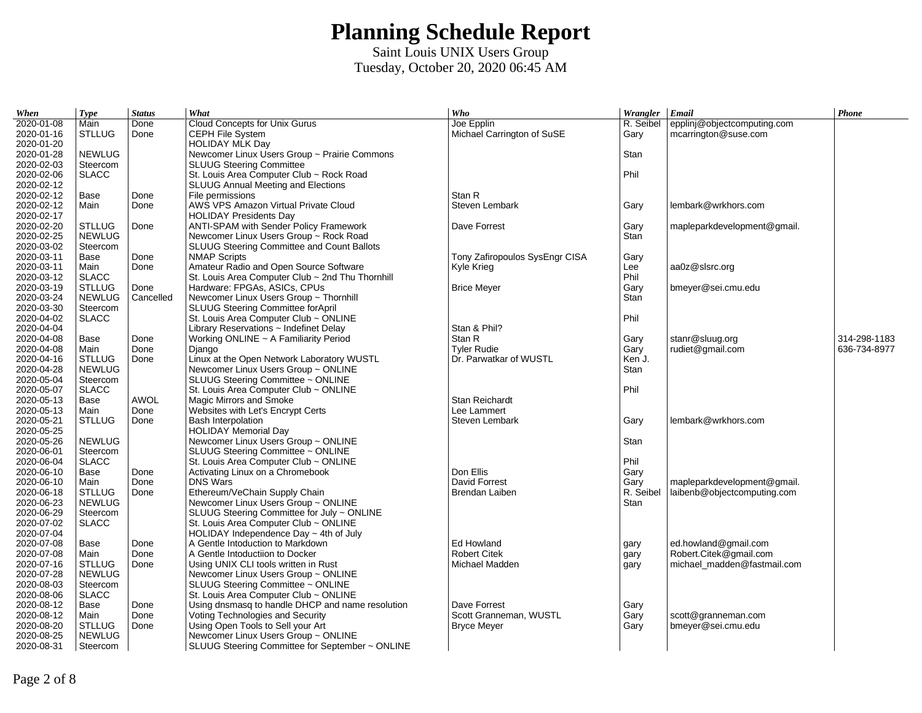| When                     | <b>Type</b>   | <b>Status</b> | What                                                                        | Who                            | Wrangler Email |                             | Phone        |
|--------------------------|---------------|---------------|-----------------------------------------------------------------------------|--------------------------------|----------------|-----------------------------|--------------|
| 2020-01-08               | Main          | Done          | Cloud Concepts for Unix Gurus                                               | Joe Epplin                     | R. Seibel      | epplinj@objectcomputing.com |              |
| 2020-01-16               | <b>STLLUG</b> | Done          | CEPH File System                                                            | Michael Carrington of SuSE     | Gary           | mcarrington@suse.com        |              |
| 2020-01-20               |               |               | <b>HOLIDAY MLK Day</b>                                                      |                                |                |                             |              |
| 2020-01-28               | <b>NEWLUG</b> |               | Newcomer Linux Users Group ~ Prairie Commons                                |                                | Stan           |                             |              |
| 2020-02-03               | Steercom      |               | <b>SLUUG Steering Committee</b>                                             |                                |                |                             |              |
| 2020-02-06               | <b>SLACC</b>  |               | St. Louis Area Computer Club ~ Rock Road                                    |                                | Phil           |                             |              |
| 2020-02-12               |               |               | SLUUG Annual Meeting and Elections                                          |                                |                |                             |              |
| 2020-02-12               | Base          | Done          | File permissions                                                            | Stan R                         |                |                             |              |
| 2020-02-12               | Main          | Done          | AWS VPS Amazon Virtual Private Cloud                                        | Steven Lembark                 | Gary           | lembark@wrkhors.com         |              |
| 2020-02-17               |               |               | <b>HOLIDAY Presidents Day</b>                                               |                                |                |                             |              |
| 2020-02-20               | <b>STLLUG</b> | Done          | ANTI-SPAM with Sender Policy Framework                                      | Dave Forrest                   | Gary           | mapleparkdevelopment@gmail. |              |
| 2020-02-25               | <b>NEWLUG</b> |               | Newcomer Linux Users Group ~ Rock Road                                      |                                | Stan           |                             |              |
| 2020-03-02               | Steercom      |               | SLUUG Steering Committee and Count Ballots                                  |                                |                |                             |              |
| 2020-03-11               | Base          | Done          | <b>NMAP Scripts</b>                                                         | Tony Zafiropoulos SysEngr CISA | Gary           |                             |              |
| 2020-03-11               | Main          | Done          | Amateur Radio and Open Source Software                                      | Kyle Krieg                     | Lee            | aa0z@slsrc.org              |              |
| 2020-03-12               | <b>SLACC</b>  |               | St. Louis Area Computer Club ~ 2nd Thu Thornhill                            |                                | Phil           |                             |              |
| 2020-03-19               | <b>STLLUG</b> | Done          | Hardware: FPGAs, ASICs, CPUs                                                | <b>Brice Meyer</b>             | Gary           | bmeyer@sei.cmu.edu          |              |
| 2020-03-24               | <b>NEWLUG</b> | Cancelled     | Newcomer Linux Users Group ~ Thornhill                                      |                                | Stan           |                             |              |
| 2020-03-30               | Steercom      |               | SLUUG Steering Committee forApril                                           |                                |                |                             |              |
| 2020-04-02               | <b>SLACC</b>  |               | St. Louis Area Computer Club ~ ONLINE                                       |                                | Phil           |                             |              |
| 2020-04-04               |               |               | Library Reservations $\sim$ Indefinet Delay                                 | Stan & Phil?                   |                |                             |              |
| 2020-04-08               | Base          | Done          | Working ONLINE ~ A Familiarity Period                                       | Stan R                         | Gary           | stanr@sluug.org             | 314-298-1183 |
| 2020-04-08               | Main          | Done          | Django                                                                      | <b>Tyler Rudie</b>             | Gary           | rudiet@gmail.com            | 636-734-8977 |
| 2020-04-16               | <b>STLLUG</b> | Done          | Linux at the Open Network Laboratory WUSTL                                  | Dr. Parwatkar of WUSTL         | Ken J.         |                             |              |
| 2020-04-28               | <b>NEWLUG</b> |               | Newcomer Linux Users Group ~ ONLINE                                         |                                | Stan           |                             |              |
| 2020-05-04               | Steercom      |               | SLUUG Steering Committee ~ ONLINE                                           |                                |                |                             |              |
| 2020-05-07               | <b>SLACC</b>  |               | St. Louis Area Computer Club ~ ONLINE                                       |                                | Phil           |                             |              |
| 2020-05-13               | Base          | <b>AWOL</b>   | Magic Mirrors and Smoke                                                     | Stan Reichardt                 |                |                             |              |
| 2020-05-13               | Main          | Done          | Websites with Let's Encrypt Certs                                           | Lee Lammert                    |                |                             |              |
| 2020-05-21               | <b>STLLUG</b> | Done          | <b>Bash Interpolation</b>                                                   | Steven Lembark                 | Gary           | lembark@wrkhors.com         |              |
| 2020-05-25               |               |               | <b>HOLIDAY Memorial Day</b>                                                 |                                |                |                             |              |
| 2020-05-26               | <b>NEWLUG</b> |               | Newcomer Linux Users Group ~ ONLINE                                         |                                | Stan           |                             |              |
| 2020-06-01               | Steercom      |               | SLUUG Steering Committee ~ ONLINE                                           |                                |                |                             |              |
| 2020-06-04               | <b>SLACC</b>  |               | St. Louis Area Computer Club ~ ONLINE                                       |                                | Phil           |                             |              |
| 2020-06-10               | Base          | Done          | Activating Linux on a Chromebook                                            | Don Ellis                      | Gary           |                             |              |
| 2020-06-10               | Main          | Done          | <b>DNS Wars</b>                                                             | David Forrest                  | Gary           | mapleparkdevelopment@gmail. |              |
| 2020-06-18               | <b>STLLUG</b> | Done          | Ethereum/VeChain Supply Chain                                               | Brendan Laiben                 | R. Seibel      | laibenb@objectcomputing.com |              |
| 2020-06-23               | <b>NEWLUG</b> |               | Newcomer Linux Users Group ~ ONLINE                                         |                                | Stan           |                             |              |
| 2020-06-29               | Steercom      |               | SLUUG Steering Committee for July ~ ONLINE                                  |                                |                |                             |              |
| 2020-07-02               | <b>SLACC</b>  |               | St. Louis Area Computer Club $\sim$ ONLINE                                  |                                |                |                             |              |
| 2020-07-04               |               |               | HOLIDAY Independence Day $\sim$ 4th of July                                 |                                |                |                             |              |
| 2020-07-08               | Base          | Done          | A Gentle Intoduction to Markdown                                            | Ed Howland                     |                | ed.howland@gmail.com        |              |
| 2020-07-08               | Main          | Done          | A Gentle Intoductiion to Docker                                             | <b>Robert Citek</b>            | gary           | Robert.Citek@gmail.com      |              |
| 2020-07-16               |               |               |                                                                             |                                | gary           |                             |              |
|                          | <b>STLLUG</b> | Done          | Using UNIX CLI tools written in Rust<br>Newcomer Linux Users Group ~ ONLINE | Michael Madden                 | gary           | michael madden@fastmail.com |              |
| 2020-07-28               | <b>NEWLUG</b> |               |                                                                             |                                |                |                             |              |
| 2020-08-03<br>2020-08-06 | Steercom      |               | SLUUG Steering Committee ~ ONLINE                                           |                                |                |                             |              |
|                          | <b>SLACC</b>  |               | St. Louis Area Computer Club ~ ONLINE                                       |                                |                |                             |              |
| 2020-08-12<br>2020-08-12 | Base          | Done          | Using dnsmasg to handle DHCP and name resolution                            | Dave Forrest                   | Gary           |                             |              |
|                          | Main          | Done          | Voting Technologies and Security                                            | Scott Granneman, WUSTL         | Gary           | scott@granneman.com         |              |
| 2020-08-20               | <b>STLLUG</b> | Done          | Using Open Tools to Sell your Art                                           | <b>Bryce Meyer</b>             | Gary           | bmeyer@sei.cmu.edu          |              |
| 2020-08-25               | <b>NEWLUG</b> |               | Newcomer Linux Users Group ~ ONLINE                                         |                                |                |                             |              |
| 2020-08-31               | Steercom      |               | SLUUG Steering Committee for September ~ ONLINE                             |                                |                |                             |              |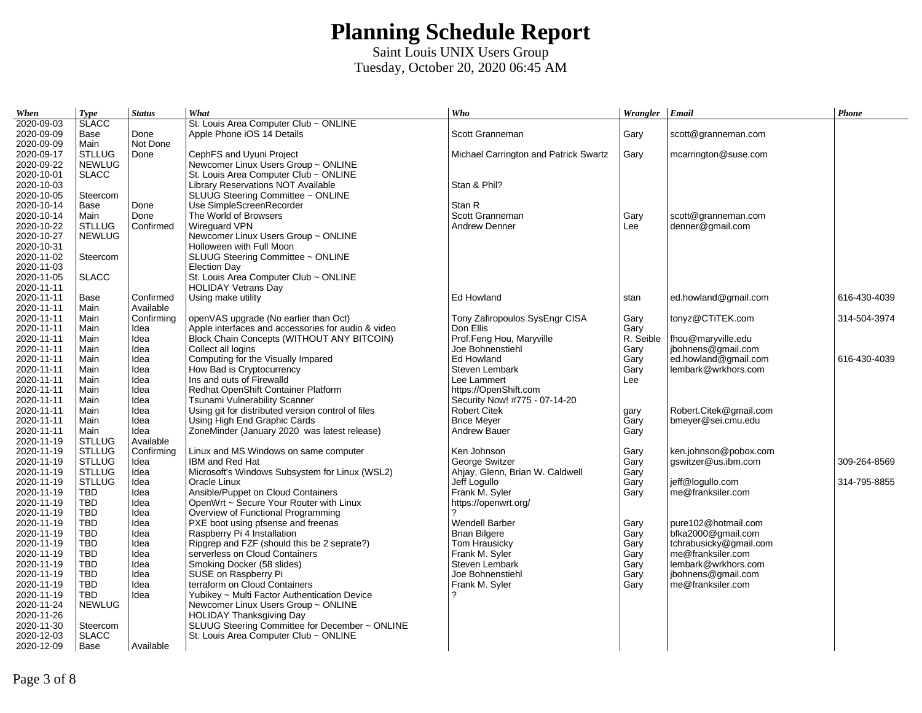| When       | <b>Type</b>   | <b>Status</b> | What                                               | Who                                   | Wrangler   Email |                        | Phone        |
|------------|---------------|---------------|----------------------------------------------------|---------------------------------------|------------------|------------------------|--------------|
| 2020-09-03 | <b>SLACC</b>  |               | St. Louis Area Computer Club ~ ONLINE              |                                       |                  |                        |              |
| 2020-09-09 | Base          | Done          | Apple Phone iOS 14 Details                         | Scott Granneman                       | Gary             | scott@granneman.com    |              |
| 2020-09-09 | Main          | Not Done      |                                                    |                                       |                  |                        |              |
| 2020-09-17 | <b>STLLUG</b> | Done          | CephFS and Uyuni Project                           | Michael Carrington and Patrick Swartz | Gary             | mcarrington@suse.com   |              |
| 2020-09-22 | <b>NEWLUG</b> |               | Newcomer Linux Users Group ~ ONLINE                |                                       |                  |                        |              |
| 2020-10-01 | <b>SLACC</b>  |               | St. Louis Area Computer Club ~ ONLINE              |                                       |                  |                        |              |
| 2020-10-03 |               |               | Library Reservations NOT Available                 | Stan & Phil?                          |                  |                        |              |
| 2020-10-05 | Steercom      |               | SLUUG Steering Committee ~ ONLINE                  |                                       |                  |                        |              |
| 2020-10-14 | Base          | Done          | Use SimpleScreenRecorder                           | Stan R                                |                  |                        |              |
| 2020-10-14 | Main          | Done          | The World of Browsers                              | Scott Granneman                       | Gary             | scott@granneman.com    |              |
| 2020-10-22 | <b>STLLUG</b> | Confirmed     | Wireguard VPN                                      | <b>Andrew Denner</b>                  | Lee              | denner@gmail.com       |              |
| 2020-10-27 | <b>NEWLUG</b> |               | Newcomer Linux Users Group ~ ONLINE                |                                       |                  |                        |              |
| 2020-10-31 |               |               | Holloween with Full Moon                           |                                       |                  |                        |              |
| 2020-11-02 | Steercom      |               | SLUUG Steering Committee ~ ONLINE                  |                                       |                  |                        |              |
| 2020-11-03 |               |               | <b>Election Day</b>                                |                                       |                  |                        |              |
| 2020-11-05 | <b>SLACC</b>  |               | St. Louis Area Computer Club ~ ONLINE              |                                       |                  |                        |              |
| 2020-11-11 |               |               | <b>HOLIDAY Vetrans Day</b>                         |                                       |                  |                        |              |
| 2020-11-11 | Base          | Confirmed     | Using make utility                                 | Ed Howland                            | stan             | ed.howland@gmail.com   | 616-430-4039 |
| 2020-11-11 | Main          | Available     |                                                    |                                       |                  |                        |              |
| 2020-11-11 | Main          | Confirming    | openVAS upgrade (No earlier than Oct)              | Tony Zafiropoulos SysEngr CISA        | Gary             | tonyz@CTiTEK.com       | 314-504-3974 |
| 2020-11-11 | Main          | Idea          | Apple interfaces and accessories for audio & video | Don Ellis                             | Gary             |                        |              |
| 2020-11-11 | Main          | Idea          | Block Chain Concepts (WITHOUT ANY BITCOIN)         | Prof.Feng Hou, Maryville              | R. Seible        | fhou@maryville.edu     |              |
| 2020-11-11 | Main          | Idea          | Collect all logins                                 | Joe Bohnenstiehl                      | Gary             | jbohnens@gmail.com     |              |
| 2020-11-11 | Main          | Idea          | Computing for the Visually Impared                 | Ed Howland                            | Gary             | ed.howland@gmail.com   | 616-430-4039 |
| 2020-11-11 | Main          | Idea          | How Bad is Cryptocurrency                          | Steven Lembark                        | Gary             | lembark@wrkhors.com    |              |
| 2020-11-11 | Main          | Idea          | Ins and outs of Firewalld                          | Lee Lammert                           | Lee              |                        |              |
| 2020-11-11 | Main          | Idea          | Redhat OpenShift Container Platform                | https://OpenShift.com                 |                  |                        |              |
| 2020-11-11 | Main          | Idea          | Tsunami Vulnerability Scanner                      | Security Now! #775 - 07-14-20         |                  |                        |              |
| 2020-11-11 | Main          | Idea          | Using git for distributed version control of files | <b>Robert Citek</b>                   | gary             | Robert.Citek@gmail.com |              |
| 2020-11-11 | Main          | Idea          | Using High End Graphic Cards                       | <b>Brice Meyer</b>                    | Gary             | bmeyer@sei.cmu.edu     |              |
| 2020-11-11 | Main          | Idea          | ZoneMinder (January 2020 was latest release)       | <b>Andrew Bauer</b>                   | Gary             |                        |              |
| 2020-11-19 | <b>STLLUG</b> | Available     |                                                    |                                       |                  |                        |              |
| 2020-11-19 | <b>STLLUG</b> | Confirming    | Linux and MS Windows on same computer              | Ken Johnson                           | Gary             | ken.johnson@pobox.com  |              |
| 2020-11-19 | <b>STLLUG</b> | Idea          | IBM and Red Hat                                    | George Switzer                        | Gary             | gswitzer@us.ibm.com    | 309-264-8569 |
| 2020-11-19 | <b>STLLUG</b> | Idea          | Microsoft's Windows Subsystem for Linux (WSL2)     | Ahjay, Glenn, Brian W. Caldwell       | Gary             |                        |              |
| 2020-11-19 | <b>STLLUG</b> | Idea          | Oracle Linux                                       | Jeff Loquilo                          | Gary             | jeff@logullo.com       | 314-795-8855 |
| 2020-11-19 | TBD           | Idea          | Ansible/Puppet on Cloud Containers                 | Frank M. Syler                        | Gary             | me@franksiler.com      |              |
| 2020-11-19 | <b>TBD</b>    | Idea          | OpenWrt ~ Secure Your Router with Linux            | https://openwrt.org/                  |                  |                        |              |
| 2020-11-19 | <b>TBD</b>    | Idea          | Overview of Functional Programming                 | っ                                     |                  |                        |              |
| 2020-11-19 | <b>TBD</b>    | Idea          | PXE boot using pfsense and freenas                 | <b>Wendell Barber</b>                 | Gary             | pure102@hotmail.com    |              |
| 2020-11-19 | <b>TBD</b>    | Idea          | Raspberry Pi 4 Installation                        | <b>Brian Bilgere</b>                  | Gary             | bfka2000@gmail.com     |              |
| 2020-11-19 | <b>TBD</b>    | Idea          | Ripgrep and FZF (should this be 2 seprate?)        | Tom Hrausicky                         | Gary             | tchrabusicky@gmail.com |              |
| 2020-11-19 | <b>TBD</b>    | Idea          | serverless on Cloud Containers                     | Frank M. Syler                        | Gary             | me@franksiler.com      |              |
| 2020-11-19 | <b>TBD</b>    | Idea          | Smoking Docker (58 slides)                         | Steven Lembark                        | Gary             | lembark@wrkhors.com    |              |
| 2020-11-19 | <b>TBD</b>    | Idea          | SUSE on Raspberry Pi                               | Joe Bohnenstiehl                      | Gary             | jbohnens@gmail.com     |              |
| 2020-11-19 | <b>TBD</b>    | Idea          | terraform on Cloud Containers                      | Frank M. Syler                        | Gary             | me@franksiler.com      |              |
| 2020-11-19 | <b>TBD</b>    | Idea          | Yubikey ~ Multi Factor Authentication Device       | ?                                     |                  |                        |              |
| 2020-11-24 | <b>NEWLUG</b> |               | Newcomer Linux Users Group ~ ONLINE                |                                       |                  |                        |              |
| 2020-11-26 |               |               | <b>HOLIDAY Thanksgiving Day</b>                    |                                       |                  |                        |              |
| 2020-11-30 | Steercom      |               | SLUUG Steering Committee for December ~ ONLINE     |                                       |                  |                        |              |
| 2020-12-03 | <b>SLACC</b>  |               | St. Louis Area Computer Club ~ ONLINE              |                                       |                  |                        |              |
| 2020-12-09 | Base          | Available     |                                                    |                                       |                  |                        |              |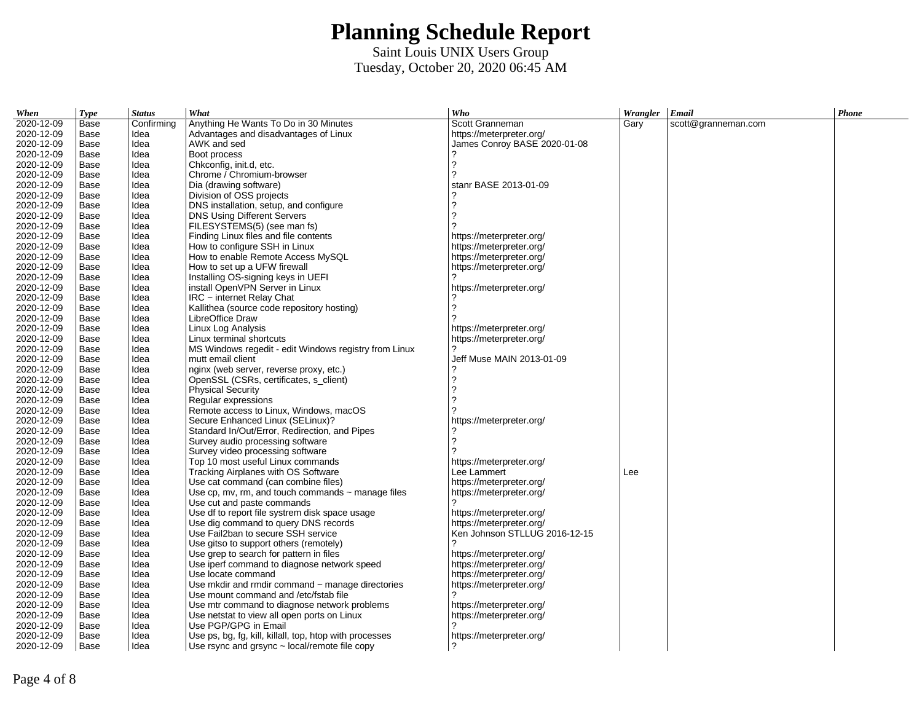| When       | <b>Type</b> | <b>Status</b> | What                                                    | Who                           | Wrangler   Email |                     | Phone |
|------------|-------------|---------------|---------------------------------------------------------|-------------------------------|------------------|---------------------|-------|
| 2020-12-09 | Base        | Confirming    | Anything He Wants To Do in 30 Minutes                   | Scott Granneman               | Gary             | scott@granneman.com |       |
| 2020-12-09 | Base        | Idea          | Advantages and disadvantages of Linux                   | https://meterpreter.org/      |                  |                     |       |
| 2020-12-09 | Base        | Idea          | AWK and sed                                             | James Conroy BASE 2020-01-08  |                  |                     |       |
| 2020-12-09 | Base        | Idea          | Boot process                                            |                               |                  |                     |       |
| 2020-12-09 | Base        | Idea          | Chkconfig, init.d, etc.                                 | 7                             |                  |                     |       |
| 2020-12-09 | Base        | Idea          | Chrome / Chromium-browser                               | 2                             |                  |                     |       |
| 2020-12-09 | Base        | Idea          | Dia (drawing software)                                  | stanr BASE 2013-01-09         |                  |                     |       |
| 2020-12-09 | Base        | Idea          | Division of OSS projects                                |                               |                  |                     |       |
| 2020-12-09 | Base        | Idea          | DNS installation, setup, and configure                  | 2                             |                  |                     |       |
| 2020-12-09 | Base        | Idea          | DNS Using Different Servers                             | っ                             |                  |                     |       |
| 2020-12-09 | Base        | Idea          | FILESYSTEMS(5) (see man fs)                             |                               |                  |                     |       |
| 2020-12-09 | Base        | Idea          | Finding Linux files and file contents                   | https://meterpreter.org/      |                  |                     |       |
| 2020-12-09 | Base        | Idea          | How to configure SSH in Linux                           | https://meterpreter.org/      |                  |                     |       |
| 2020-12-09 | Base        | Idea          | How to enable Remote Access MySQL                       | https://meterpreter.org/      |                  |                     |       |
| 2020-12-09 | Base        | Idea          | How to set up a UFW firewall                            | https://meterpreter.org/      |                  |                     |       |
| 2020-12-09 | Base        | Idea          | Installing OS-signing keys in UEFI                      |                               |                  |                     |       |
| 2020-12-09 | Base        | Idea          | install OpenVPN Server in Linux                         | https://meterpreter.org/      |                  |                     |       |
| 2020-12-09 | Base        | Idea          | $IRC$ ~ internet Relay Chat                             |                               |                  |                     |       |
| 2020-12-09 | Base        | Idea          | Kallithea (source code repository hosting)              | っ                             |                  |                     |       |
| 2020-12-09 | Base        | Idea          | LibreOffice Draw                                        |                               |                  |                     |       |
| 2020-12-09 | Base        | Idea          | Linux Log Analysis                                      | https://meterpreter.org/      |                  |                     |       |
| 2020-12-09 | Base        | Idea          | Linux terminal shortcuts                                | https://meterpreter.org/      |                  |                     |       |
| 2020-12-09 | Base        | Idea          | MS Windows regedit - edit Windows registry from Linux   | 2                             |                  |                     |       |
| 2020-12-09 | Base        | Idea          | mutt email client                                       | Jeff Muse MAIN 2013-01-09     |                  |                     |       |
| 2020-12-09 | Base        | Idea          | nginx (web server, reverse proxy, etc.)                 |                               |                  |                     |       |
| 2020-12-09 | Base        | Idea          | OpenSSL (CSRs, certificates, s client)                  | 2                             |                  |                     |       |
| 2020-12-09 | Base        | Idea          | <b>Physical Security</b>                                | っ                             |                  |                     |       |
| 2020-12-09 | Base        | Idea          | Regular expressions                                     | 7                             |                  |                     |       |
| 2020-12-09 | Base        | Idea          | Remote access to Linux, Windows, macOS                  |                               |                  |                     |       |
| 2020-12-09 | Base        | Idea          | Secure Enhanced Linux (SELinux)?                        | https://meterpreter.org/      |                  |                     |       |
| 2020-12-09 | Base        | Idea          | Standard In/Out/Error, Redirection, and Pipes           |                               |                  |                     |       |
| 2020-12-09 | Base        | Idea          | Survey audio processing software                        | っ                             |                  |                     |       |
| 2020-12-09 | Base        | Idea          | Survey video processing software                        |                               |                  |                     |       |
| 2020-12-09 | Base        | Idea          | Top 10 most useful Linux commands                       | https://meterpreter.org/      |                  |                     |       |
| 2020-12-09 | Base        | Idea          | Tracking Airplanes with OS Software                     | Lee Lammert                   | Lee              |                     |       |
| 2020-12-09 | Base        | Idea          | Use cat command (can combine files)                     | https://meterpreter.org/      |                  |                     |       |
| 2020-12-09 | Base        | Idea          | Use cp, mv, rm, and touch commands $\sim$ manage files  | https://meterpreter.org/      |                  |                     |       |
| 2020-12-09 | Base        | Idea          | Use cut and paste commands                              | っ                             |                  |                     |       |
| 2020-12-09 | Base        | Idea          | Use df to report file systrem disk space usage          | https://meterpreter.org/      |                  |                     |       |
| 2020-12-09 | Base        | Idea          | Use dig command to query DNS records                    | https://meterpreter.org/      |                  |                     |       |
| 2020-12-09 | Base        | Idea          | Use Fail2ban to secure SSH service                      | Ken Johnson STLLUG 2016-12-15 |                  |                     |       |
| 2020-12-09 | Base        | Idea          | Use gitso to support others (remotely)                  |                               |                  |                     |       |
| 2020-12-09 | Base        | Idea          | Use grep to search for pattern in files                 | https://meterpreter.org/      |                  |                     |       |
| 2020-12-09 | Base        | Idea          | Use iperf command to diagnose network speed             | https://meterpreter.org/      |                  |                     |       |
| 2020-12-09 | Base        | Idea          | Use locate command                                      | https://meterpreter.org/      |                  |                     |       |
| 2020-12-09 | Base        | Idea          | Use mkdir and rmdir command $\sim$ manage directories   | https://meterpreter.org/      |                  |                     |       |
| 2020-12-09 | Base        | Idea          | Use mount command and /etc/fstab file                   |                               |                  |                     |       |
| 2020-12-09 | Base        | Idea          | Use mtr command to diagnose network problems            | https://meterpreter.org/      |                  |                     |       |
| 2020-12-09 | Base        | Idea          | Use netstat to view all open ports on Linux             | https://meterpreter.org/      |                  |                     |       |
| 2020-12-09 | Base        | Idea          | Use PGP/GPG in Email                                    |                               |                  |                     |       |
| 2020-12-09 | Base        | Idea          | Use ps, bg, fg, kill, killall, top, htop with processes | https://meterpreter.org/      |                  |                     |       |
| 2020-12-09 | Base        | Idea          | Use rsync and grsync $\sim$ local/remote file copy      |                               |                  |                     |       |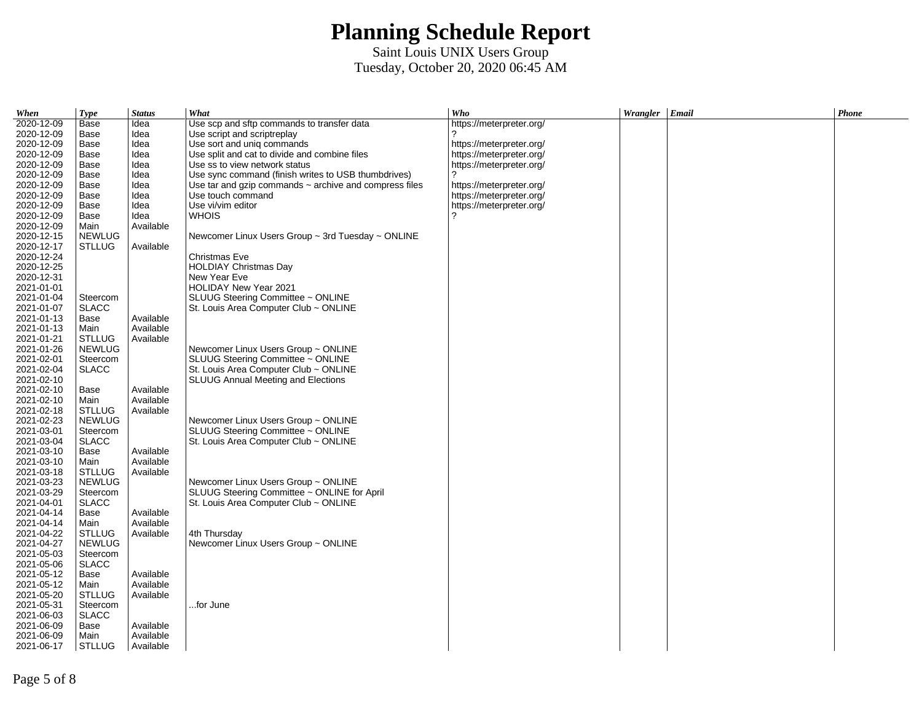| When       | <b>Type</b>   | <b>Status</b> | What                                                        | Who                      | Wrangler Email | Phone |
|------------|---------------|---------------|-------------------------------------------------------------|--------------------------|----------------|-------|
| 2020-12-09 | Base          | Idea          | Use scp and sftp commands to transfer data                  | https://meterpreter.org/ |                |       |
| 2020-12-09 | Base          | Idea          | Use script and scriptreplay                                 |                          |                |       |
| 2020-12-09 | Base          | Idea          | Use sort and uniq commands                                  | https://meterpreter.org/ |                |       |
| 2020-12-09 | Base          | Idea          | Use split and cat to divide and combine files               | https://meterpreter.org/ |                |       |
| 2020-12-09 | Base          | Idea          | Use ss to view network status                               | https://meterpreter.org/ |                |       |
| 2020-12-09 | Base          | Idea          | Use sync command (finish writes to USB thumbdrives)         | 2                        |                |       |
| 2020-12-09 | Base          | Idea          | Use tar and gzip commands $\sim$ archive and compress files | https://meterpreter.org/ |                |       |
| 2020-12-09 | Base          | Idea          | Use touch command                                           | https://meterpreter.org/ |                |       |
| 2020-12-09 | Base          | Idea          | Use vi/vim editor                                           | https://meterpreter.org/ |                |       |
| 2020-12-09 | Base          | Idea          | <b>WHOIS</b>                                                |                          |                |       |
| 2020-12-09 | Main          | Available     |                                                             |                          |                |       |
| 2020-12-15 | <b>NEWLUG</b> |               | Newcomer Linux Users Group $\sim$ 3rd Tuesday $\sim$ ONLINE |                          |                |       |
| 2020-12-17 | <b>STLLUG</b> | Available     |                                                             |                          |                |       |
| 2020-12-24 |               |               | Christmas Eve                                               |                          |                |       |
| 2020-12-25 |               |               | <b>HOLDIAY Christmas Day</b>                                |                          |                |       |
| 2020-12-31 |               |               | New Year Eve                                                |                          |                |       |
| 2021-01-01 |               |               | HOLIDAY New Year 2021                                       |                          |                |       |
| 2021-01-04 | Steercom      |               | SLUUG Steering Committee ~ ONLINE                           |                          |                |       |
| 2021-01-07 | <b>SLACC</b>  |               | St. Louis Area Computer Club ~ ONLINE                       |                          |                |       |
| 2021-01-13 | Base          | Available     |                                                             |                          |                |       |
| 2021-01-13 | Main          | Available     |                                                             |                          |                |       |
| 2021-01-21 | <b>STLLUG</b> | Available     |                                                             |                          |                |       |
| 2021-01-26 | <b>NEWLUG</b> |               | Newcomer Linux Users Group ~ ONLINE                         |                          |                |       |
| 2021-02-01 | Steercom      |               | SLUUG Steering Committee ~ ONLINE                           |                          |                |       |
| 2021-02-04 | <b>SLACC</b>  |               | St. Louis Area Computer Club ~ ONLINE                       |                          |                |       |
| 2021-02-10 |               |               | SLUUG Annual Meeting and Elections                          |                          |                |       |
| 2021-02-10 | Base          | Available     |                                                             |                          |                |       |
| 2021-02-10 | Main          | Available     |                                                             |                          |                |       |
| 2021-02-18 | <b>STLLUG</b> | Available     |                                                             |                          |                |       |
| 2021-02-23 |               |               |                                                             |                          |                |       |
| 2021-03-01 | <b>NEWLUG</b> |               | Newcomer Linux Users Group ~ ONLINE                         |                          |                |       |
| 2021-03-04 | Steercom      |               | SLUUG Steering Committee ~ ONLINE                           |                          |                |       |
| 2021-03-10 | <b>SLACC</b>  |               | St. Louis Area Computer Club ~ ONLINE                       |                          |                |       |
|            | Base          | Available     |                                                             |                          |                |       |
| 2021-03-10 | Main          | Available     |                                                             |                          |                |       |
| 2021-03-18 | <b>STLLUG</b> | Available     |                                                             |                          |                |       |
| 2021-03-23 | <b>NEWLUG</b> |               | Newcomer Linux Users Group ~ ONLINE                         |                          |                |       |
| 2021-03-29 | Steercom      |               | SLUUG Steering Committee ~ ONLINE for April                 |                          |                |       |
| 2021-04-01 | <b>SLACC</b>  |               | St. Louis Area Computer Club ~ ONLINE                       |                          |                |       |
| 2021-04-14 | Base          | Available     |                                                             |                          |                |       |
| 2021-04-14 | Main          | Available     |                                                             |                          |                |       |
| 2021-04-22 | <b>STLLUG</b> | Available     | 4th Thursday                                                |                          |                |       |
| 2021-04-27 | <b>NEWLUG</b> |               | Newcomer Linux Users Group ~ ONLINE                         |                          |                |       |
| 2021-05-03 | Steercom      |               |                                                             |                          |                |       |
| 2021-05-06 | <b>SLACC</b>  |               |                                                             |                          |                |       |
| 2021-05-12 | Base          | Available     |                                                             |                          |                |       |
| 2021-05-12 | Main          | Available     |                                                             |                          |                |       |
| 2021-05-20 | <b>STLLUG</b> | Available     |                                                             |                          |                |       |
| 2021-05-31 | Steercom      |               | for June                                                    |                          |                |       |
| 2021-06-03 | <b>SLACC</b>  |               |                                                             |                          |                |       |
| 2021-06-09 | Base          | Available     |                                                             |                          |                |       |
| 2021-06-09 | Main          | Available     |                                                             |                          |                |       |
| 2021-06-17 | <b>STLLUG</b> | Available     |                                                             |                          |                |       |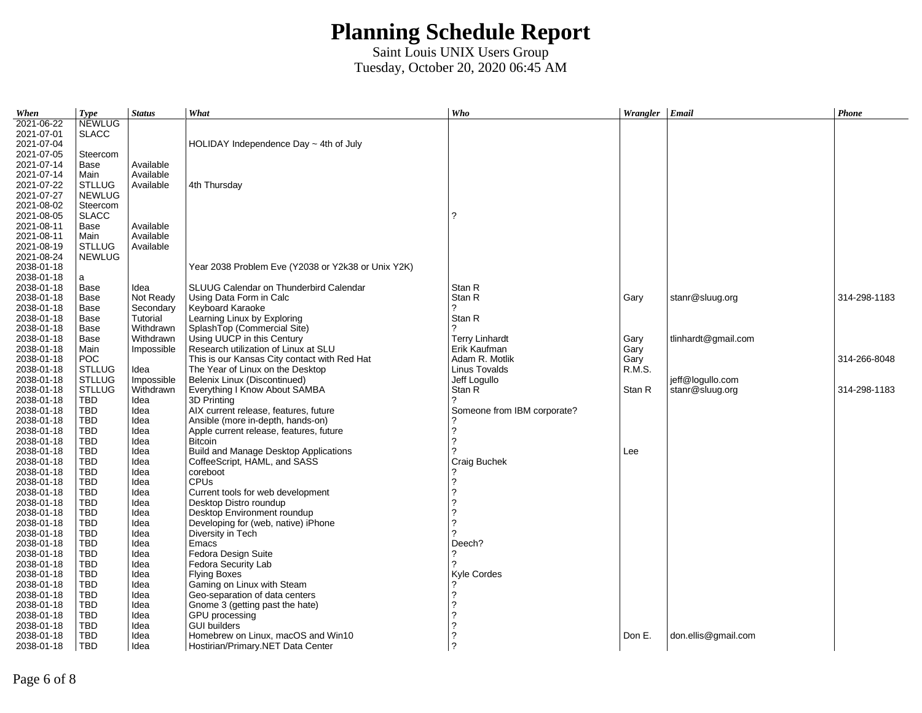| When       | <b>Type</b>   | <b>Status</b> | What                                               | Who                         | Wrangler   Email |                     | Phone        |
|------------|---------------|---------------|----------------------------------------------------|-----------------------------|------------------|---------------------|--------------|
| 2021-06-22 | <b>NEWLUG</b> |               |                                                    |                             |                  |                     |              |
| 2021-07-01 | <b>SLACC</b>  |               |                                                    |                             |                  |                     |              |
| 2021-07-04 |               |               | HOLIDAY Independence Day $\sim$ 4th of July        |                             |                  |                     |              |
| 2021-07-05 | Steercom      |               |                                                    |                             |                  |                     |              |
| 2021-07-14 | Base          | Available     |                                                    |                             |                  |                     |              |
| 2021-07-14 | Main          | Available     |                                                    |                             |                  |                     |              |
| 2021-07-22 | <b>STLLUG</b> | Available     | 4th Thursday                                       |                             |                  |                     |              |
| 2021-07-27 | <b>NEWLUG</b> |               |                                                    |                             |                  |                     |              |
| 2021-08-02 | Steercom      |               |                                                    |                             |                  |                     |              |
| 2021-08-05 | <b>SLACC</b>  |               |                                                    | ?                           |                  |                     |              |
| 2021-08-11 | Base          | Available     |                                                    |                             |                  |                     |              |
| 2021-08-11 | Main          | Available     |                                                    |                             |                  |                     |              |
| 2021-08-19 | <b>STLLUG</b> | Available     |                                                    |                             |                  |                     |              |
| 2021-08-24 | NEWLUG        |               |                                                    |                             |                  |                     |              |
| 2038-01-18 |               |               | Year 2038 Problem Eve (Y2038 or Y2k38 or Unix Y2K) |                             |                  |                     |              |
| 2038-01-18 | a             |               |                                                    |                             |                  |                     |              |
| 2038-01-18 | Base          | Idea          | SLUUG Calendar on Thunderbird Calendar             | Stan R                      |                  |                     |              |
| 2038-01-18 | Base          | Not Ready     | Using Data Form in Calc                            | Stan R                      | Gary             | stanr@sluug.org     | 314-298-1183 |
| 2038-01-18 | Base          | Secondary     | Keyboard Karaoke                                   | ?                           |                  |                     |              |
| 2038-01-18 | Base          | Tutorial      | Learning Linux by Exploring                        | Stan R                      |                  |                     |              |
| 2038-01-18 | Base          | Withdrawn     | SplashTop (Commercial Site)                        | 2                           |                  |                     |              |
| 2038-01-18 | Base          | Withdrawn     | Using UUCP in this Century                         | <b>Terry Linhardt</b>       | Gary             | tlinhardt@gmail.com |              |
| 2038-01-18 | Main          | Impossible    | Research utilization of Linux at SLU               | Erik Kaufman                | Gary             |                     |              |
| 2038-01-18 | POC           |               | This is our Kansas City contact with Red Hat       | Adam R. Motlik              | Gary             |                     | 314-266-8048 |
| 2038-01-18 | <b>STLLUG</b> | Idea          | The Year of Linux on the Desktop                   | Linus Tovalds               | R.M.S.           |                     |              |
| 2038-01-18 | <b>STLLUG</b> | Impossible    | Belenix Linux (Discontinued)                       | Jeff Logullo                |                  | jeff@logullo.com    |              |
| 2038-01-18 | <b>STLLUG</b> | Withdrawn     | Everything I Know About SAMBA                      | Stan R                      | Stan R           | stanr@sluug.org     | 314-298-1183 |
| 2038-01-18 | TBD           | Idea          | 3D Printing                                        | 2                           |                  |                     |              |
| 2038-01-18 | <b>TBD</b>    | Idea          | AIX current release, features, future              | Someone from IBM corporate? |                  |                     |              |
| 2038-01-18 | TBD           | Idea          | Ansible (more in-depth, hands-on)                  |                             |                  |                     |              |
| 2038-01-18 | <b>TBD</b>    | Idea          | Apple current release, features, future            | ?                           |                  |                     |              |
| 2038-01-18 | <b>TBD</b>    | Idea          | Bitcoin                                            | $\overline{?}$              |                  |                     |              |
| 2038-01-18 | TBD           | Idea          | Build and Manage Desktop Applications              | っ                           | Lee              |                     |              |
| 2038-01-18 | TBD           | Idea          | CoffeeScript, HAML, and SASS                       | Craig Buchek                |                  |                     |              |
| 2038-01-18 | TBD           | Idea          | coreboot                                           |                             |                  |                     |              |
| 2038-01-18 | <b>TBD</b>    | Idea          | <b>CPUs</b>                                        | 2                           |                  |                     |              |
| 2038-01-18 | <b>TBD</b>    | Idea          | Current tools for web development                  | $\overline{?}$              |                  |                     |              |
| 2038-01-18 | TBD           | Idea          | Desktop Distro roundup                             | っ                           |                  |                     |              |
| 2038-01-18 | <b>TBD</b>    | Idea          | Desktop Environment roundup                        | 2                           |                  |                     |              |
| 2038-01-18 | TBD           | Idea          | Developing for (web, native) iPhone                | 2                           |                  |                     |              |
| 2038-01-18 | <b>TBD</b>    | Idea          | Diversity in Tech                                  | 2                           |                  |                     |              |
| 2038-01-18 | <b>TBD</b>    | Idea          | Emacs                                              | Deech?                      |                  |                     |              |
| 2038-01-18 | <b>TBD</b>    | Idea          | Fedora Design Suite                                | 2                           |                  |                     |              |
| 2038-01-18 | <b>TBD</b>    | Idea          | Fedora Security Lab                                | 2                           |                  |                     |              |
| 2038-01-18 | <b>TBD</b>    | Idea          | <b>Flying Boxes</b>                                | Kyle Cordes                 |                  |                     |              |
| 2038-01-18 | <b>TBD</b>    | Idea          | Gaming on Linux with Steam                         |                             |                  |                     |              |
| 2038-01-18 | <b>TBD</b>    | Idea          | Geo-separation of data centers                     | 2                           |                  |                     |              |
| 2038-01-18 | <b>TBD</b>    | Idea          | Gnome 3 (getting past the hate)                    | 2                           |                  |                     |              |
| 2038-01-18 | <b>TBD</b>    | Idea          | GPU processing                                     | っ                           |                  |                     |              |
| 2038-01-18 | <b>TBD</b>    | Idea          | <b>GUI builders</b>                                | 2                           |                  |                     |              |
| 2038-01-18 | <b>TBD</b>    | Idea          | Homebrew on Linux, macOS and Win10                 | 2                           | Don E.           | don.ellis@gmail.com |              |
| 2038-01-18 | <b>TBD</b>    | Idea          | Hostirian/Primary.NET Data Center                  | ?                           |                  |                     |              |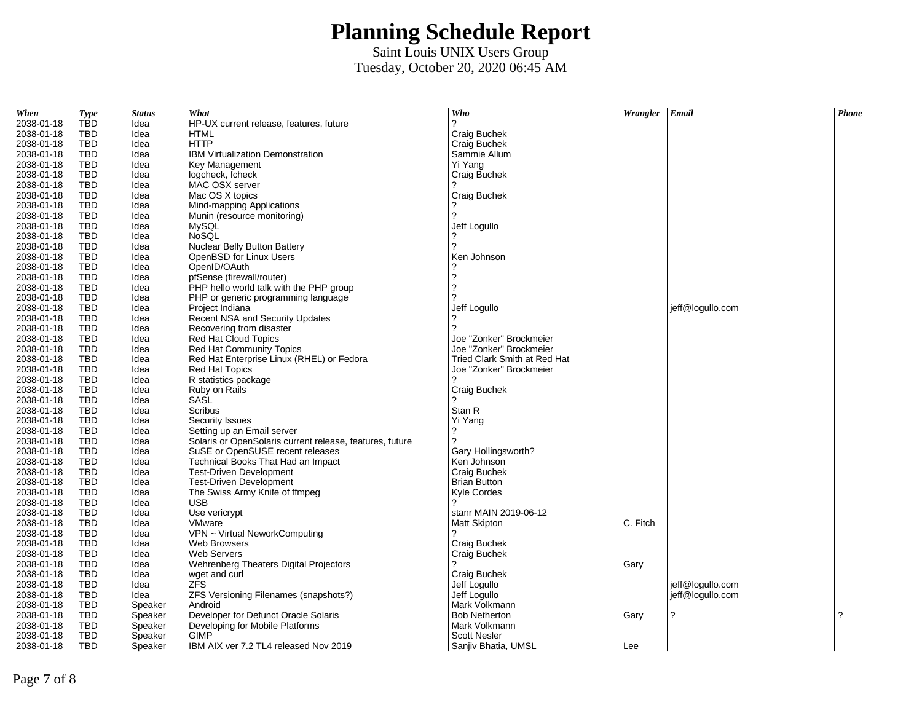| When       | <b>Type</b> | <b>Status</b> | What                                                     | Who                          | Wrangler Email |                  | Phone |
|------------|-------------|---------------|----------------------------------------------------------|------------------------------|----------------|------------------|-------|
| 2038-01-18 | <b>TBD</b>  | Idea          | HP-UX current release, features, future                  | 2                            |                |                  |       |
| 2038-01-18 | <b>TBD</b>  | Idea          | <b>HTML</b>                                              | Craig Buchek                 |                |                  |       |
| 2038-01-18 | <b>TBD</b>  | Idea          | <b>HTTP</b>                                              | Craig Buchek                 |                |                  |       |
| 2038-01-18 | <b>TBD</b>  | Idea          | <b>IBM Virtualization Demonstration</b>                  | Sammie Allum                 |                |                  |       |
| 2038-01-18 | <b>TBD</b>  | Idea          | Key Management                                           | Yi Yang                      |                |                  |       |
| 2038-01-18 | <b>TBD</b>  | Idea          | logcheck, fcheck                                         | Craig Buchek                 |                |                  |       |
| 2038-01-18 | <b>TBD</b>  | Idea          | MAC OSX server                                           |                              |                |                  |       |
| 2038-01-18 | <b>TBD</b>  | Idea          | Mac OS X topics                                          | Craig Buchek                 |                |                  |       |
| 2038-01-18 | <b>TBD</b>  | Idea          | Mind-mapping Applications                                |                              |                |                  |       |
| 2038-01-18 | <b>TBD</b>  | Idea          | Munin (resource monitoring)                              | 2                            |                |                  |       |
| 2038-01-18 | TBD         | Idea          | <b>MySQL</b>                                             | Jeff Logullo                 |                |                  |       |
| 2038-01-18 | <b>TBD</b>  | Idea          | <b>NoSOL</b>                                             |                              |                |                  |       |
| 2038-01-18 | TBD         | Idea          | Nuclear Belly Button Battery                             | 2                            |                |                  |       |
| 2038-01-18 | TBD         | Idea          | OpenBSD for Linux Users                                  | Ken Johnson                  |                |                  |       |
| 2038-01-18 | <b>TBD</b>  | Idea          | OpenID/OAuth                                             |                              |                |                  |       |
| 2038-01-18 | TBD         | Idea          | pfSense (firewall/router)                                | ?                            |                |                  |       |
| 2038-01-18 | TBD         | Idea          | PHP hello world talk with the PHP group                  | ?                            |                |                  |       |
| 2038-01-18 | <b>TBD</b>  | Idea          | PHP or generic programming language                      | 2                            |                |                  |       |
| 2038-01-18 | TBD         | Idea          | Project Indiana                                          | Jeff Logullo                 |                | jeff@logullo.com |       |
| 2038-01-18 | <b>TBD</b>  | Idea          | Recent NSA and Security Updates                          |                              |                |                  |       |
| 2038-01-18 | <b>TBD</b>  | Idea          | Recovering from disaster                                 | 2                            |                |                  |       |
| 2038-01-18 | <b>TBD</b>  | Idea          | Red Hat Cloud Topics                                     | Joe "Zonker" Brockmeier      |                |                  |       |
| 2038-01-18 | <b>TBD</b>  | Idea          | <b>Red Hat Community Topics</b>                          | Joe "Zonker" Brockmeier      |                |                  |       |
| 2038-01-18 | TBD         | Idea          | Red Hat Enterprise Linux (RHEL) or Fedora                | Tried Clark Smith at Red Hat |                |                  |       |
| 2038-01-18 | <b>TBD</b>  | Idea          | <b>Red Hat Topics</b>                                    | Joe "Zonker" Brockmeier      |                |                  |       |
| 2038-01-18 | <b>TBD</b>  | Idea          | R statistics package                                     | っ                            |                |                  |       |
| 2038-01-18 | <b>TBD</b>  | Idea          | Ruby on Rails                                            | Craig Buchek                 |                |                  |       |
| 2038-01-18 | <b>TBD</b>  | Idea          | <b>SASL</b>                                              | 2                            |                |                  |       |
| 2038-01-18 | <b>TBD</b>  | Idea          | Scribus                                                  | Stan R                       |                |                  |       |
| 2038-01-18 | <b>TBD</b>  | Idea          | Security Issues                                          | Yi Yang                      |                |                  |       |
| 2038-01-18 | <b>TBD</b>  | Idea          | Setting up an Email server                               | ?                            |                |                  |       |
| 2038-01-18 | TBD         | Idea          | Solaris or OpenSolaris current release, features, future | 2                            |                |                  |       |
| 2038-01-18 | <b>TBD</b>  | Idea          | SuSE or OpenSUSE recent releases                         | Gary Hollingsworth?          |                |                  |       |
| 2038-01-18 | <b>TBD</b>  | Idea          | Technical Books That Had an Impact                       | Ken Johnson                  |                |                  |       |
| 2038-01-18 | <b>TBD</b>  | Idea          | Test-Driven Development                                  | Craig Buchek                 |                |                  |       |
| 2038-01-18 | <b>TBD</b>  | Idea          | <b>Test-Driven Development</b>                           | <b>Brian Button</b>          |                |                  |       |
| 2038-01-18 | TBD         | Idea          | The Swiss Army Knife of ffmpeg                           | Kyle Cordes                  |                |                  |       |
| 2038-01-18 | TBD         | Idea          | <b>USB</b>                                               | 2                            |                |                  |       |
| 2038-01-18 | <b>TBD</b>  | Idea          | Use vericrypt                                            | stanr MAIN 2019-06-12        |                |                  |       |
| 2038-01-18 | TBD         | Idea          | <b>VMware</b>                                            | Matt Skipton                 | C. Fitch       |                  |       |
| 2038-01-18 | <b>TBD</b>  | Idea          | VPN ~ Virtual NeworkComputing                            | 2                            |                |                  |       |
| 2038-01-18 | <b>TBD</b>  | Idea          | <b>Web Browsers</b>                                      | Craig Buchek                 |                |                  |       |
| 2038-01-18 | TBD         | Idea          | <b>Web Servers</b>                                       | Craig Buchek                 |                |                  |       |
| 2038-01-18 | TBD         | Idea          | Wehrenberg Theaters Digital Projectors                   |                              | Gary           |                  |       |
| 2038-01-18 | <b>TBD</b>  | Idea          | wget and curl                                            | Craig Buchek                 |                |                  |       |
| 2038-01-18 | <b>TBD</b>  | Idea          | <b>ZFS</b>                                               | Jeff Logullo                 |                | ieff@loqullo.com |       |
| 2038-01-18 | <b>TBD</b>  | Idea          | ZFS Versioning Filenames (snapshots?)                    | Jeff Logullo                 |                | jeff@logullo.com |       |
| 2038-01-18 | <b>TBD</b>  | Speaker       | Android                                                  | Mark Volkmann                |                |                  |       |
| 2038-01-18 | TBD         | Speaker       | Developer for Defunct Oracle Solaris                     | <b>Bob Netherton</b>         | Gary           | 2                | ?     |
| 2038-01-18 | <b>TBD</b>  | Speaker       | Developing for Mobile Platforms                          | Mark Volkmann                |                |                  |       |
| 2038-01-18 | <b>TBD</b>  | Speaker       | <b>GIMP</b>                                              | <b>Scott Nesler</b>          |                |                  |       |
| 2038-01-18 | <b>TBD</b>  | Speaker       | IBM AIX ver 7.2 TL4 released Nov 2019                    | Sanjiv Bhatia, UMSL          | Lee            |                  |       |